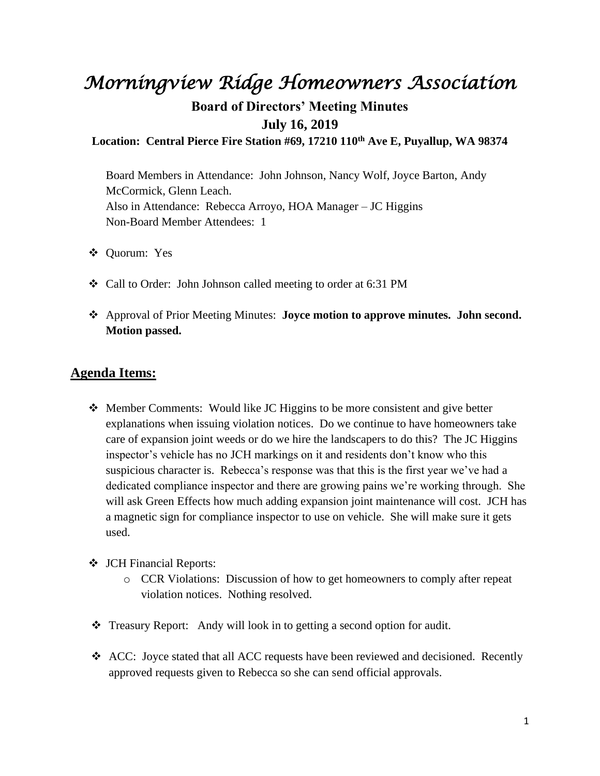## *Morningview Ridge Homeowners Association*

## **Board of Directors' Meeting Minutes July 16, 2019**

**Location: Central Pierce Fire Station #69, 17210 110th Ave E, Puyallup, WA 98374**

Board Members in Attendance: John Johnson, Nancy Wolf, Joyce Barton, Andy McCormick, Glenn Leach. Also in Attendance: Rebecca Arroyo, HOA Manager – JC Higgins Non-Board Member Attendees: 1

- ❖ Quorum: Yes
- ❖ Call to Order: John Johnson called meeting to order at 6:31 PM
- ❖ Approval of Prior Meeting Minutes: **Joyce motion to approve minutes. John second. Motion passed.**

## **Agenda Items:**

- ❖ Member Comments: Would like JC Higgins to be more consistent and give better explanations when issuing violation notices. Do we continue to have homeowners take care of expansion joint weeds or do we hire the landscapers to do this? The JC Higgins inspector's vehicle has no JCH markings on it and residents don't know who this suspicious character is. Rebecca's response was that this is the first year we've had a dedicated compliance inspector and there are growing pains we're working through. She will ask Green Effects how much adding expansion joint maintenance will cost. JCH has a magnetic sign for compliance inspector to use on vehicle. She will make sure it gets used.
- ❖ JCH Financial Reports:
	- o CCR Violations: Discussion of how to get homeowners to comply after repeat violation notices. Nothing resolved.
- ❖ Treasury Report:Andy will look in to getting a second option for audit.
- ❖ ACC: Joyce stated that all ACC requests have been reviewed and decisioned. Recently approved requests given to Rebecca so she can send official approvals.